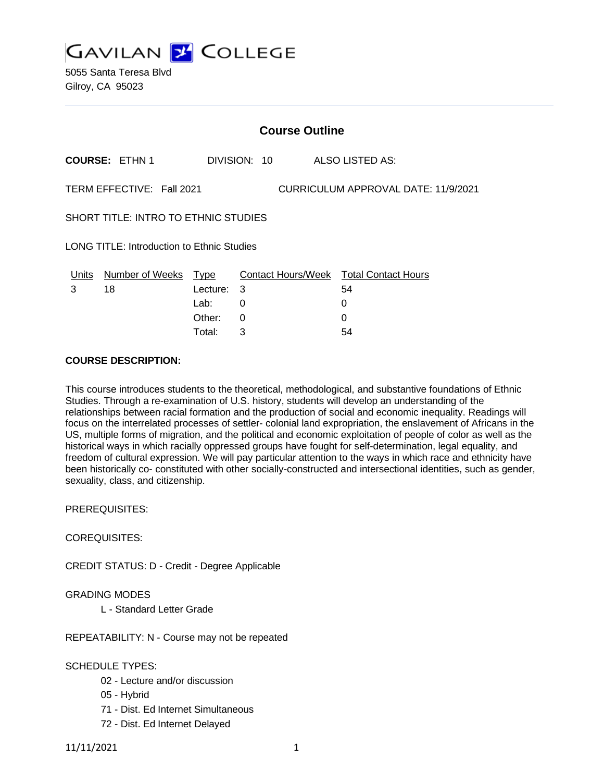**GAVILAN Y COLLEGE** 

5055 Santa Teresa Blvd Gilroy, CA 95023

|                                                                  | <b>Course Outline</b>  |             |    |              |  |                                        |  |
|------------------------------------------------------------------|------------------------|-------------|----|--------------|--|----------------------------------------|--|
|                                                                  | <b>COURSE: ETHN 1</b>  |             |    | DIVISION: 10 |  | ALSO LISTED AS:                        |  |
| TERM EFFECTIVE: Fall 2021<br>CURRICULUM APPROVAL DATE: 11/9/2021 |                        |             |    |              |  |                                        |  |
| <b>SHORT TITLE: INTRO TO ETHNIC STUDIES</b>                      |                        |             |    |              |  |                                        |  |
| <b>LONG TITLE: Introduction to Ethnic Studies</b>                |                        |             |    |              |  |                                        |  |
| Units                                                            | <b>Number of Weeks</b> | <u>Type</u> |    |              |  | Contact Hours/Week Total Contact Hours |  |
| 3                                                                | 18                     | Lecture:    | -3 |              |  | 54                                     |  |
|                                                                  |                        | Lab:        | 0  |              |  | 0                                      |  |
|                                                                  |                        | Other:      | 0  |              |  | 0                                      |  |
|                                                                  |                        |             |    |              |  |                                        |  |

Total: 3 54

#### **COURSE DESCRIPTION:**

This course introduces students to the theoretical, methodological, and substantive foundations of Ethnic Studies. Through a re-examination of U.S. history, students will develop an understanding of the relationships between racial formation and the production of social and economic inequality. Readings will focus on the interrelated processes of settler- colonial land expropriation, the enslavement of Africans in the US, multiple forms of migration, and the political and economic exploitation of people of color as well as the historical ways in which racially oppressed groups have fought for self-determination, legal equality, and freedom of cultural expression. We will pay particular attention to the ways in which race and ethnicity have been historically co- constituted with other socially-constructed and intersectional identities, such as gender, sexuality, class, and citizenship.

PREREQUISITES:

COREQUISITES:

CREDIT STATUS: D - Credit - Degree Applicable

GRADING MODES

L - Standard Letter Grade

REPEATABILITY: N - Course may not be repeated

SCHEDULE TYPES:

- 02 Lecture and/or discussion
- 05 Hybrid
- 71 Dist. Ed Internet Simultaneous
- 72 Dist. Ed Internet Delayed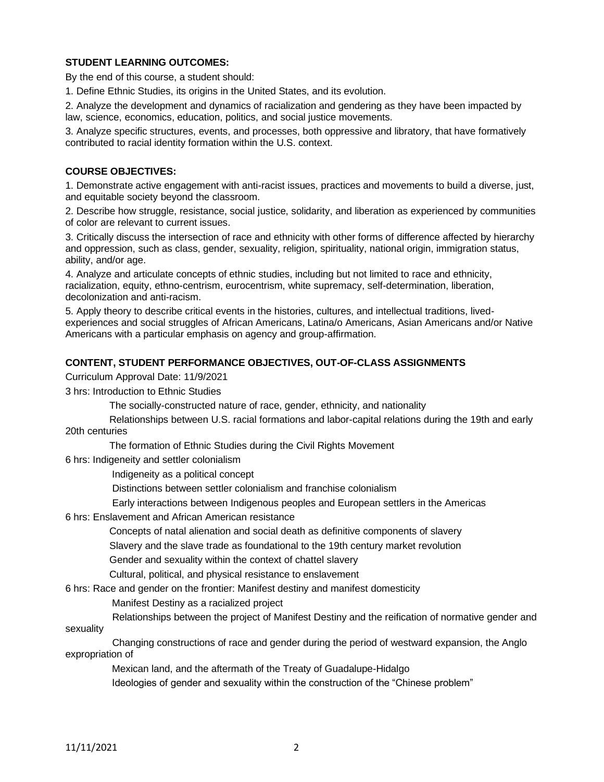# **STUDENT LEARNING OUTCOMES:**

By the end of this course, a student should:

1. Define Ethnic Studies, its origins in the United States, and its evolution.

2. Analyze the development and dynamics of racialization and gendering as they have been impacted by law, science, economics, education, politics, and social justice movements.

3. Analyze specific structures, events, and processes, both oppressive and libratory, that have formatively contributed to racial identity formation within the U.S. context.

### **COURSE OBJECTIVES:**

1. Demonstrate active engagement with anti-racist issues, practices and movements to build a diverse, just, and equitable society beyond the classroom.

2. Describe how struggle, resistance, social justice, solidarity, and liberation as experienced by communities of color are relevant to current issues.

3. Critically discuss the intersection of race and ethnicity with other forms of difference affected by hierarchy and oppression, such as class, gender, sexuality, religion, spirituality, national origin, immigration status, ability, and/or age.

4. Analyze and articulate concepts of ethnic studies, including but not limited to race and ethnicity, racialization, equity, ethno-centrism, eurocentrism, white supremacy, self-determination, liberation, decolonization and anti-racism.

5. Apply theory to describe critical events in the histories, cultures, and intellectual traditions, livedexperiences and social struggles of African Americans, Latina/o Americans, Asian Americans and/or Native Americans with a particular emphasis on agency and group-affirmation.

#### **CONTENT, STUDENT PERFORMANCE OBJECTIVES, OUT-OF-CLASS ASSIGNMENTS**

Curriculum Approval Date: 11/9/2021

3 hrs: Introduction to Ethnic Studies

The socially-constructed nature of race, gender, ethnicity, and nationality

 Relationships between U.S. racial formations and labor-capital relations during the 19th and early 20th centuries

The formation of Ethnic Studies during the Civil Rights Movement

6 hrs: Indigeneity and settler colonialism

Indigeneity as a political concept

Distinctions between settler colonialism and franchise colonialism

Early interactions between Indigenous peoples and European settlers in the Americas

6 hrs: Enslavement and African American resistance

Concepts of natal alienation and social death as definitive components of slavery

Slavery and the slave trade as foundational to the 19th century market revolution

Gender and sexuality within the context of chattel slavery

Cultural, political, and physical resistance to enslavement

6 hrs: Race and gender on the frontier: Manifest destiny and manifest domesticity

Manifest Destiny as a racialized project

 Relationships between the project of Manifest Destiny and the reification of normative gender and sexuality

 Changing constructions of race and gender during the period of westward expansion, the Anglo expropriation of

Mexican land, and the aftermath of the Treaty of Guadalupe-Hidalgo

Ideologies of gender and sexuality within the construction of the "Chinese problem"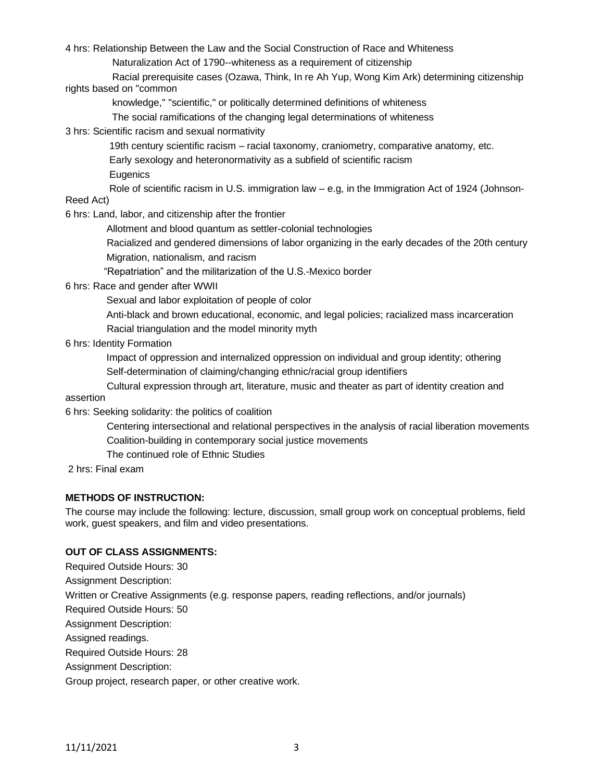4 hrs: Relationship Between the Law and the Social Construction of Race and Whiteness

Naturalization Act of 1790--whiteness as a requirement of citizenship

 Racial prerequisite cases (Ozawa, Think, In re Ah Yup, Wong Kim Ark) determining citizenship rights based on "common

knowledge," "scientific," or politically determined definitions of whiteness

The social ramifications of the changing legal determinations of whiteness

3 hrs: Scientific racism and sexual normativity

19th century scientific racism – racial taxonomy, craniometry, comparative anatomy, etc.

Early sexology and heteronormativity as a subfield of scientific racism

**Eugenics** 

 Role of scientific racism in U.S. immigration law – e.g, in the Immigration Act of 1924 (Johnson-Reed Act)

6 hrs: Land, labor, and citizenship after the frontier

Allotment and blood quantum as settler-colonial technologies

 Racialized and gendered dimensions of labor organizing in the early decades of the 20th century Migration, nationalism, and racism

"Repatriation" and the militarization of the U.S.-Mexico border

6 hrs: Race and gender after WWII

Sexual and labor exploitation of people of color

 Anti-black and brown educational, economic, and legal policies; racialized mass incarceration Racial triangulation and the model minority myth

6 hrs: Identity Formation

 Impact of oppression and internalized oppression on individual and group identity; othering Self-determination of claiming/changing ethnic/racial group identifiers

 Cultural expression through art, literature, music and theater as part of identity creation and assertion

6 hrs: Seeking solidarity: the politics of coalition

 Centering intersectional and relational perspectives in the analysis of racial liberation movements Coalition-building in contemporary social justice movements

The continued role of Ethnic Studies

2 hrs: Final exam

### **METHODS OF INSTRUCTION:**

The course may include the following: lecture, discussion, small group work on conceptual problems, field work, guest speakers, and film and video presentations.

### **OUT OF CLASS ASSIGNMENTS:**

Required Outside Hours: 30 Assignment Description: Written or Creative Assignments (e.g. response papers, reading reflections, and/or journals) Required Outside Hours: 50 Assignment Description: Assigned readings. Required Outside Hours: 28 Assignment Description: Group project, research paper, or other creative work.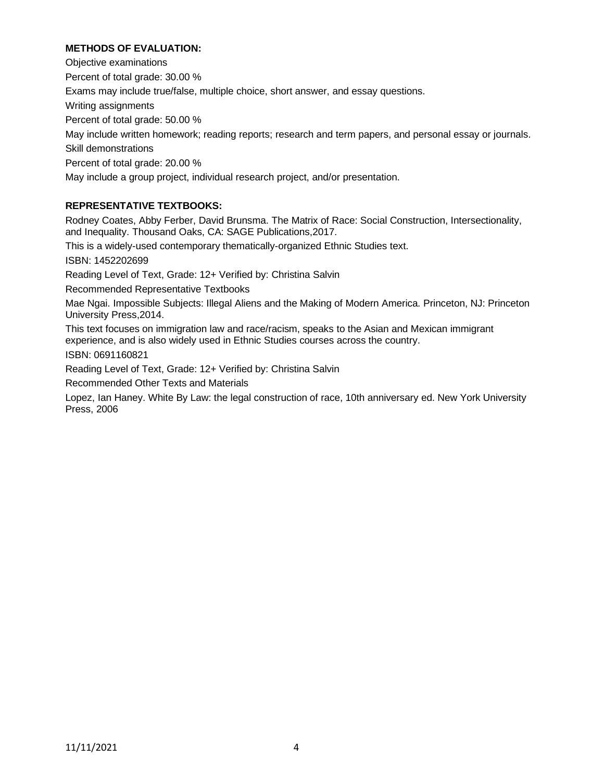# **METHODS OF EVALUATION:**

Objective examinations Percent of total grade: 30.00 % Exams may include true/false, multiple choice, short answer, and essay questions. Writing assignments Percent of total grade: 50.00 % May include written homework; reading reports; research and term papers, and personal essay or journals. Skill demonstrations Percent of total grade: 20.00 % May include a group project, individual research project, and/or presentation.

# **REPRESENTATIVE TEXTBOOKS:**

Rodney Coates, Abby Ferber, David Brunsma. The Matrix of Race: Social Construction, Intersectionality, and Inequality. Thousand Oaks, CA: SAGE Publications,2017.

This is a widely-used contemporary thematically-organized Ethnic Studies text.

ISBN: 1452202699

Reading Level of Text, Grade: 12+ Verified by: Christina Salvin

Recommended Representative Textbooks

Mae Ngai. Impossible Subjects: Illegal Aliens and the Making of Modern America. Princeton, NJ: Princeton University Press,2014.

This text focuses on immigration law and race/racism, speaks to the Asian and Mexican immigrant experience, and is also widely used in Ethnic Studies courses across the country.

ISBN: 0691160821

Reading Level of Text, Grade: 12+ Verified by: Christina Salvin

Recommended Other Texts and Materials

Lopez, Ian Haney. White By Law: the legal construction of race, 10th anniversary ed. New York University Press, 2006